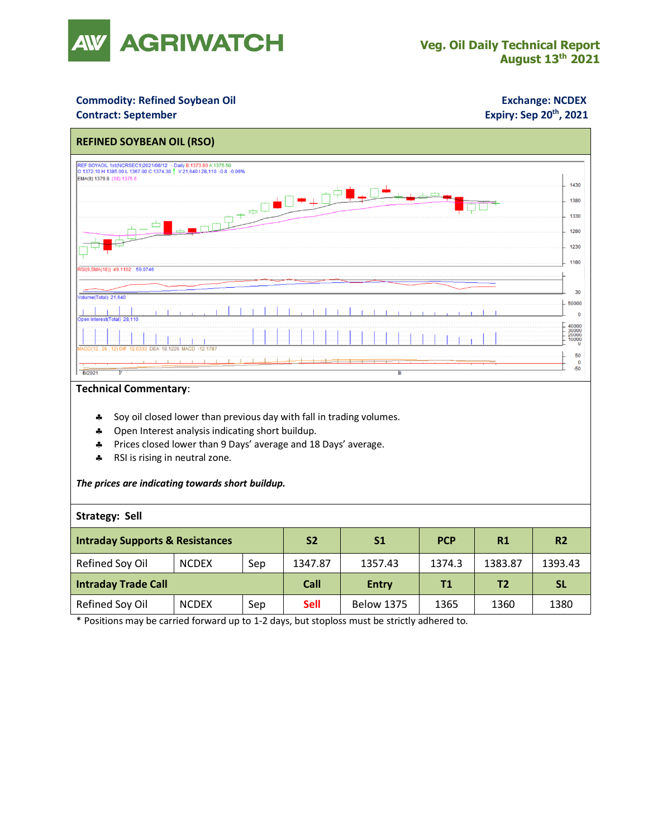

### **Commodity: Refined Soybean Oil <b>Exchange: NCDEX**

### **Contract: September**

## **Expiry: Sep 20<sup>th</sup>, 2021**



#### **Technical Commentary**:

- Soy oil closed lower than previous day with fall in trading volumes.
- \* Open Interest analysis indicating short buildup.
- \* Prices closed lower than 9 Days' average and 18 Days' average.
- \* RSI is rising in neutral zone.

#### *The prices are indicating towards short buildup.*

#### **Strategy: Sell**

| <b>Intraday Supports &amp; Resistances</b> |              |     | <b>S2</b>   | S <sub>1</sub>    | <b>PCP</b> | R1      | R <sub>2</sub> |
|--------------------------------------------|--------------|-----|-------------|-------------------|------------|---------|----------------|
| Refined Soy Oil                            | <b>NCDEX</b> | Sep | 1347.87     | 1357.43           | 1374.3     | 1383.87 | 1393.43        |
| <b>Intraday Trade Call</b>                 |              |     | Call        | <b>Entry</b>      | T1         | Τ2      | <b>SL</b>      |
| Refined Soy Oil                            | <b>NCDEX</b> | Sep | <b>Sell</b> | <b>Below 1375</b> | 1365       | 1360    | 1380           |

\* Positions may be carried forward up to 1-2 days, but stoploss must be strictly adhered to.